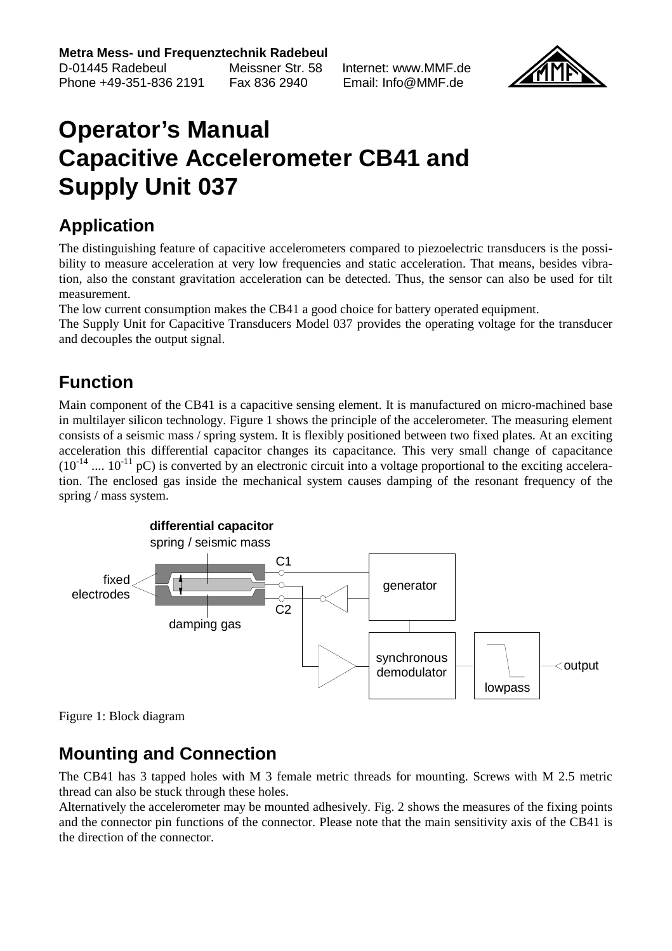**Metra Mess- und Frequenztechnik Radebeul**

D-01445 Radebeul Meissner Str. 58 Internet: www.MMF.de Phone +49-351-836 2191 Fax 836 2940 Email: Info@MMF.de



## **Operator's Manual Capacitive Accelerometer CB41 and Supply Unit 037**

#### **Application**

The distinguishing feature of capacitive accelerometers compared to piezoelectric transducers is the possibility to measure acceleration at very low frequencies and static acceleration. That means, besides vibration, also the constant gravitation acceleration can be detected. Thus, the sensor can also be used for tilt measurement.

The low current consumption makes the CB41 a good choice for battery operated equipment.

The Supply Unit for Capacitive Transducers Model 037 provides the operating voltage for the transducer and decouples the output signal.

### **Function**

Main component of the CB41 is a capacitive sensing element. It is manufactured on micro-machined base in multilayer silicon technology. Figure 1 shows the principle of the accelerometer. The measuring element consists of a seismic mass / spring system. It is flexibly positioned between two fixed plates. At an exciting acceleration this differential capacitor changes its capacitance. This very small change of capacitance  $(10^{-14}$  ....  $10^{-11}$  pC) is converted by an electronic circuit into a voltage proportional to the exciting acceleration. The enclosed gas inside the mechanical system causes damping of the resonant frequency of the spring / mass system.



Figure 1: Block diagram

#### **Mounting and Connection**

The CB41 has 3 tapped holes with M 3 female metric threads for mounting. Screws with M 2.5 metric thread can also be stuck through these holes.

Alternatively the accelerometer may be mounted adhesively. Fig. 2 shows the measures of the fixing points and the connector pin functions of the connector. Please note that the main sensitivity axis of the CB41 is the direction of the connector.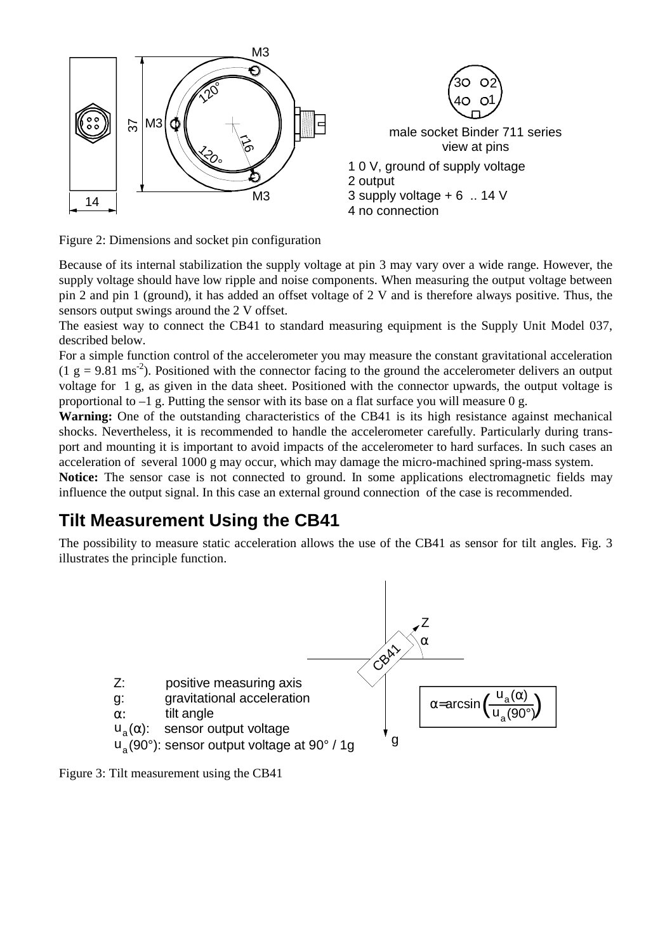

Figure 2: Dimensions and socket pin configuration

Because of its internal stabilization the supply voltage at pin 3 may vary over a wide range. However, the supply voltage should have low ripple and noise components. When measuring the output voltage between pin 2 and pin 1 (ground), it has added an offset voltage of 2 V and is therefore always positive. Thus, the sensors output swings around the 2 V offset.

The easiest way to connect the CB41 to standard measuring equipment is the Supply Unit Model 037, described below.

For a simple function control of the accelerometer you may measure the constant gravitational acceleration  $(1 \text{ g} = 9.81 \text{ ms}^{-2})$ . Positioned with the connector facing to the ground the accelerometer delivers an output voltage for 1 g, as given in the data sheet. Positioned with the connector upwards, the output voltage is proportional to  $-1$  g. Putting the sensor with its base on a flat surface you will measure 0 g.

**Warning:** One of the outstanding characteristics of the CB41 is its high resistance against mechanical shocks. Nevertheless, it is recommended to handle the accelerometer carefully. Particularly during transport and mounting it is important to avoid impacts of the accelerometer to hard surfaces. In such cases an acceleration of several 1000 g may occur, which may damage the micro-machined spring-mass system.

**Notice:** The sensor case is not connected to ground. In some applications electromagnetic fields may influence the output signal. In this case an external ground connection of the case is recommended.

#### **Tilt Measurement Using the CB41**

The possibility to measure static acceleration allows the use of the CB41 as sensor for tilt angles. Fig. 3 illustrates the principle function.



Figure 3: Tilt measurement using the CB41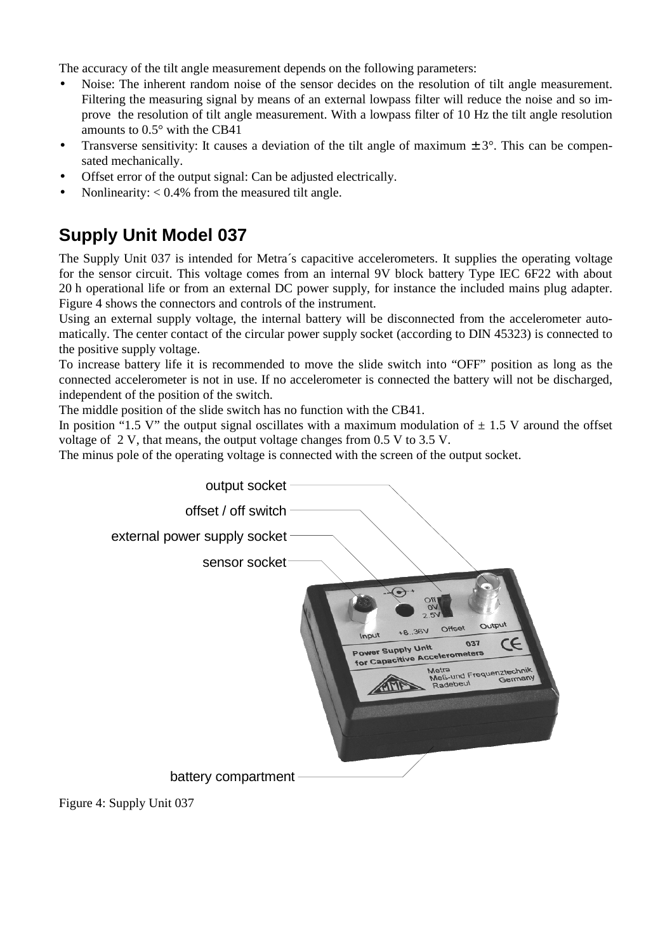The accuracy of the tilt angle measurement depends on the following parameters:

- Noise: The inherent random noise of the sensor decides on the resolution of tilt angle measurement. Filtering the measuring signal by means of an external lowpass filter will reduce the noise and so improve the resolution of tilt angle measurement. With a lowpass filter of 10 Hz the tilt angle resolution amounts to 0.5° with the CB41
- Transverse sensitivity: It causes a deviation of the tilt angle of maximum  $\pm 3^{\circ}$ . This can be compensated mechanically.
- Offset error of the output signal: Can be adjusted electrically.
- Nonlinearity:  $< 0.4\%$  from the measured tilt angle.

#### **Supply Unit Model 037**

The Supply Unit 037 is intended for Metra´s capacitive accelerometers. It supplies the operating voltage for the sensor circuit. This voltage comes from an internal 9V block battery Type IEC 6F22 with about 20 h operational life or from an external DC power supply, for instance the included mains plug adapter. Figure 4 shows the connectors and controls of the instrument.

Using an external supply voltage, the internal battery will be disconnected from the accelerometer automatically. The center contact of the circular power supply socket (according to DIN 45323) is connected to the positive supply voltage.

To increase battery life it is recommended to move the slide switch into "OFF" position as long as the connected accelerometer is not in use. If no accelerometer is connected the battery will not be discharged, independent of the position of the switch.

The middle position of the slide switch has no function with the CB41.

In position "1.5 V" the output signal oscillates with a maximum modulation of  $\pm$  1.5 V around the offset voltage of 2 V, that means, the output voltage changes from 0.5 V to 3.5 V.

The minus pole of the operating voltage is connected with the screen of the output socket.



Figure 4: Supply Unit 037